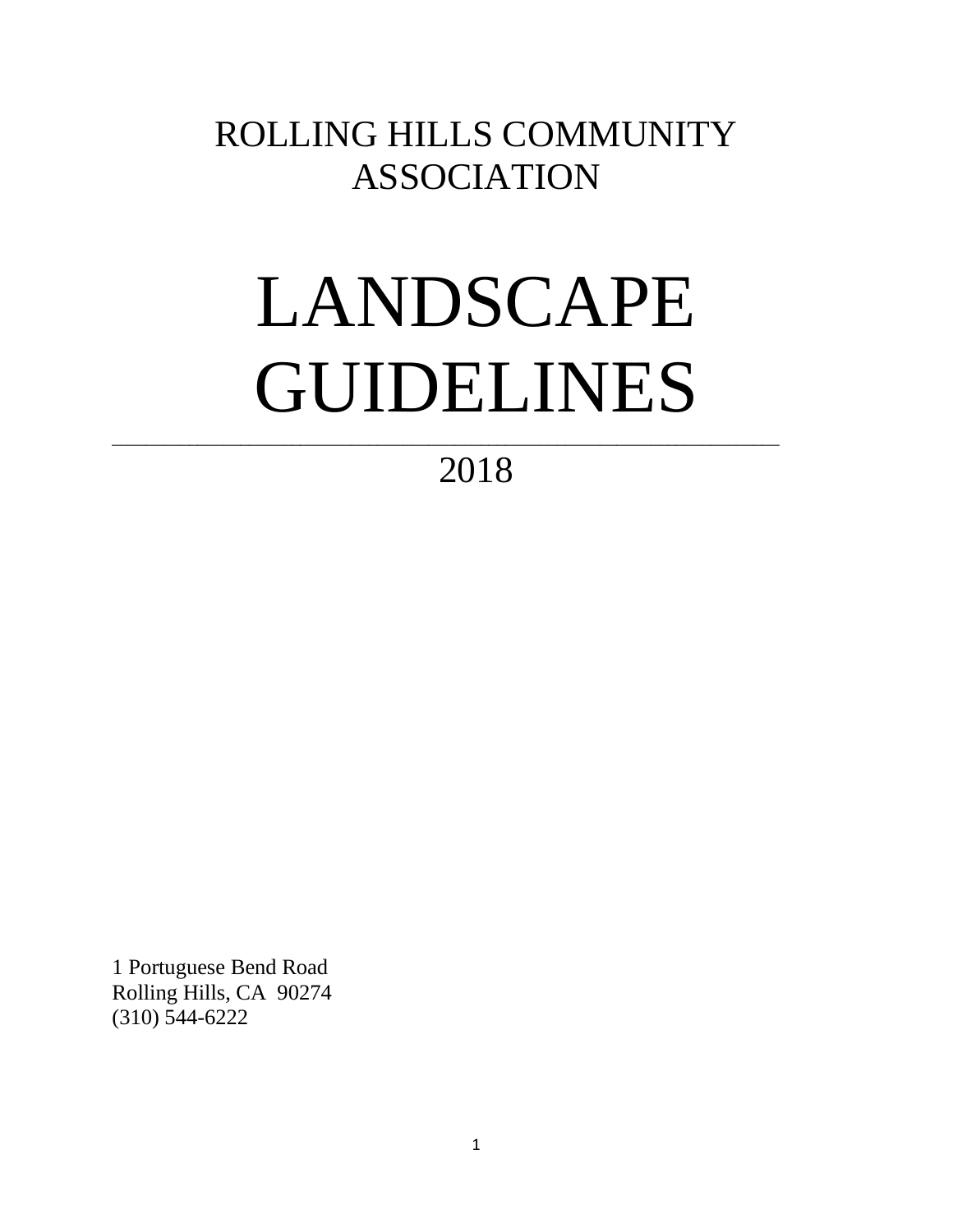# ROLLING HILLS COMMUNITY ASSOCIATION

# LANDSCAPE GUIDELINES

2018

\_\_\_\_\_\_\_\_\_\_\_\_\_\_\_\_\_\_\_\_\_\_\_\_\_\_\_\_\_\_\_\_\_\_\_\_\_\_\_\_\_\_\_\_\_\_\_\_\_\_\_\_\_\_\_\_\_\_\_\_\_\_\_\_\_\_\_\_\_\_\_\_\_\_\_\_\_\_

1 Portuguese Bend Road Rolling Hills, CA 90274 (310) 544-6222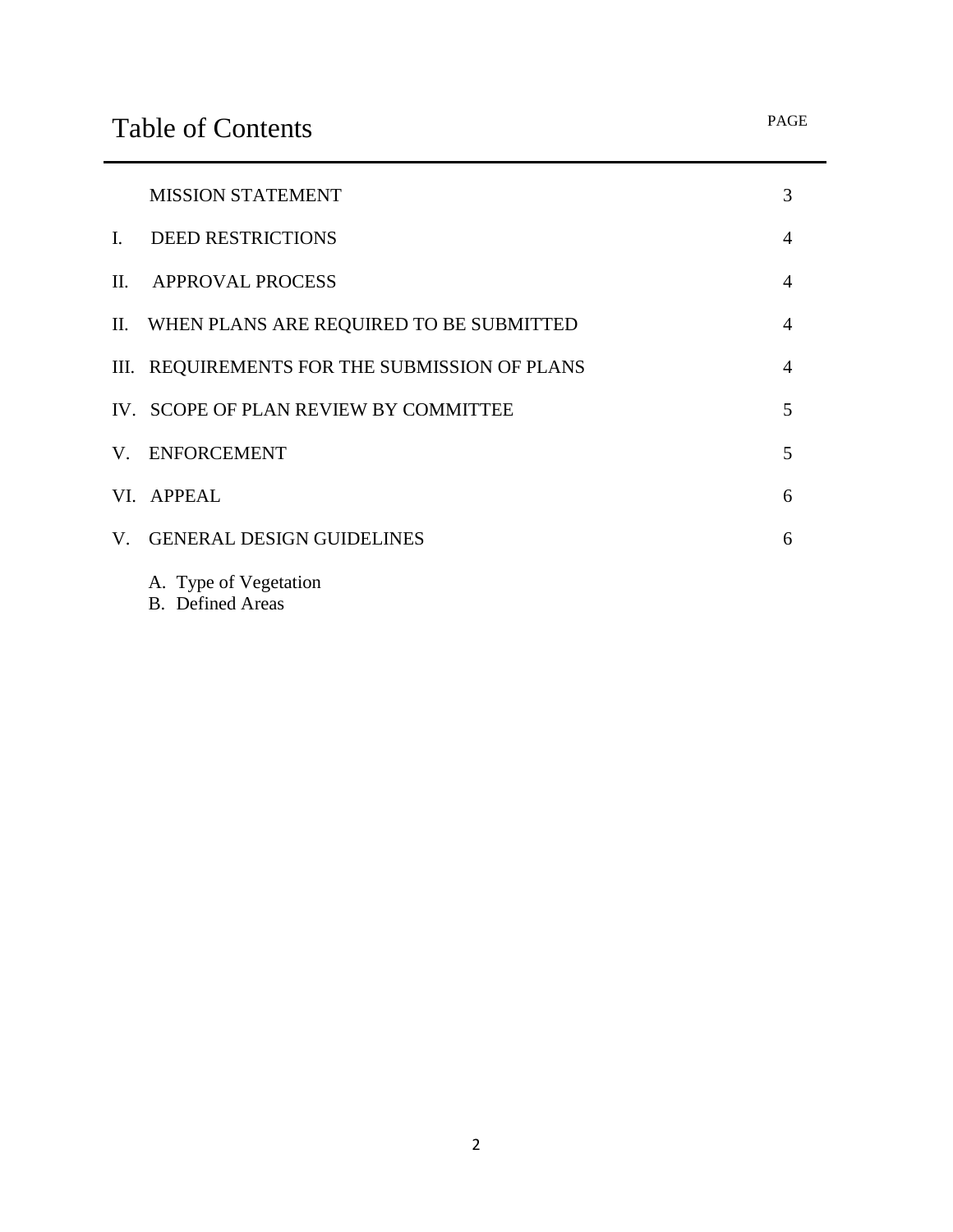|    | <b>MISSION STATEMENT</b>                      | 3              |
|----|-----------------------------------------------|----------------|
|    | I. DEED RESTRICTIONS                          | $\overline{4}$ |
|    | II. APPROVAL PROCESS                          | $\overline{4}$ |
|    | II. WHEN PLANS ARE REQUIRED TO BE SUBMITTED   | $\overline{4}$ |
|    | III. REQUIREMENTS FOR THE SUBMISSION OF PLANS | $\overline{4}$ |
|    | IV. SCOPE OF PLAN REVIEW BY COMMITTEE         | 5              |
|    | V. ENFORCEMENT                                | 5              |
|    | VI. APPEAL                                    | 6              |
| V. | <b>GENERAL DESIGN GUIDELINES</b>              | 6              |
|    | A. Type of Vegetation                         |                |

B. Defined Areas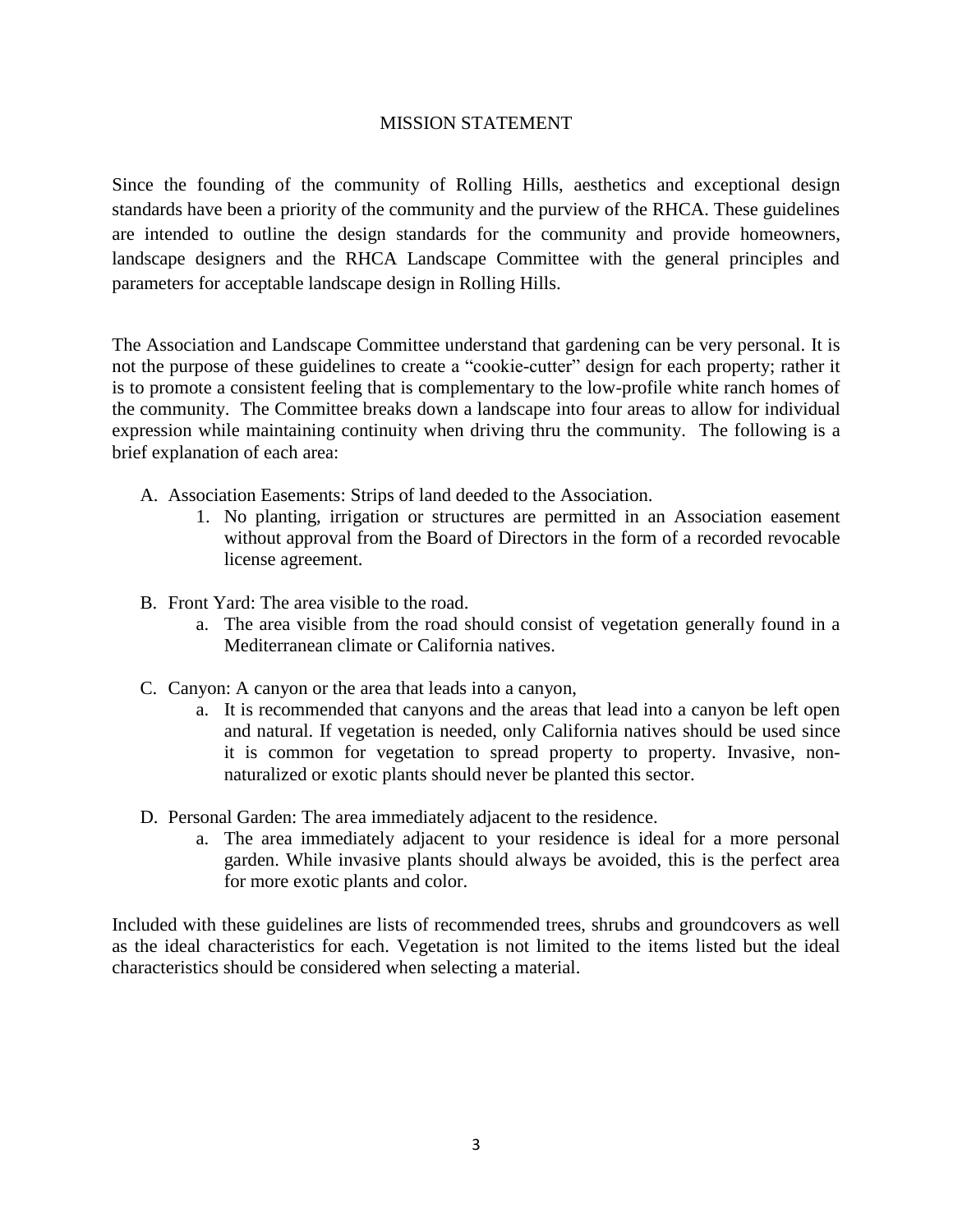#### MISSION STATEMENT

Since the founding of the community of Rolling Hills, aesthetics and exceptional design standards have been a priority of the community and the purview of the RHCA. These guidelines are intended to outline the design standards for the community and provide homeowners, landscape designers and the RHCA Landscape Committee with the general principles and parameters for acceptable landscape design in Rolling Hills.

The Association and Landscape Committee understand that gardening can be very personal. It is not the purpose of these guidelines to create a "cookie-cutter" design for each property; rather it is to promote a consistent feeling that is complementary to the low-profile white ranch homes of the community. The Committee breaks down a landscape into four areas to allow for individual expression while maintaining continuity when driving thru the community. The following is a brief explanation of each area:

- A. Association Easements: Strips of land deeded to the Association.
	- 1. No planting, irrigation or structures are permitted in an Association easement without approval from the Board of Directors in the form of a recorded revocable license agreement.
- B. Front Yard: The area visible to the road.
	- a. The area visible from the road should consist of vegetation generally found in a Mediterranean climate or California natives.
- C. Canyon: A canyon or the area that leads into a canyon,
	- a. It is recommended that canyons and the areas that lead into a canyon be left open and natural. If vegetation is needed, only California natives should be used since it is common for vegetation to spread property to property. Invasive, nonnaturalized or exotic plants should never be planted this sector.
- D. Personal Garden: The area immediately adjacent to the residence.
	- a. The area immediately adjacent to your residence is ideal for a more personal garden. While invasive plants should always be avoided, this is the perfect area for more exotic plants and color.

Included with these guidelines are lists of recommended trees, shrubs and groundcovers as well as the ideal characteristics for each. Vegetation is not limited to the items listed but the ideal characteristics should be considered when selecting a material.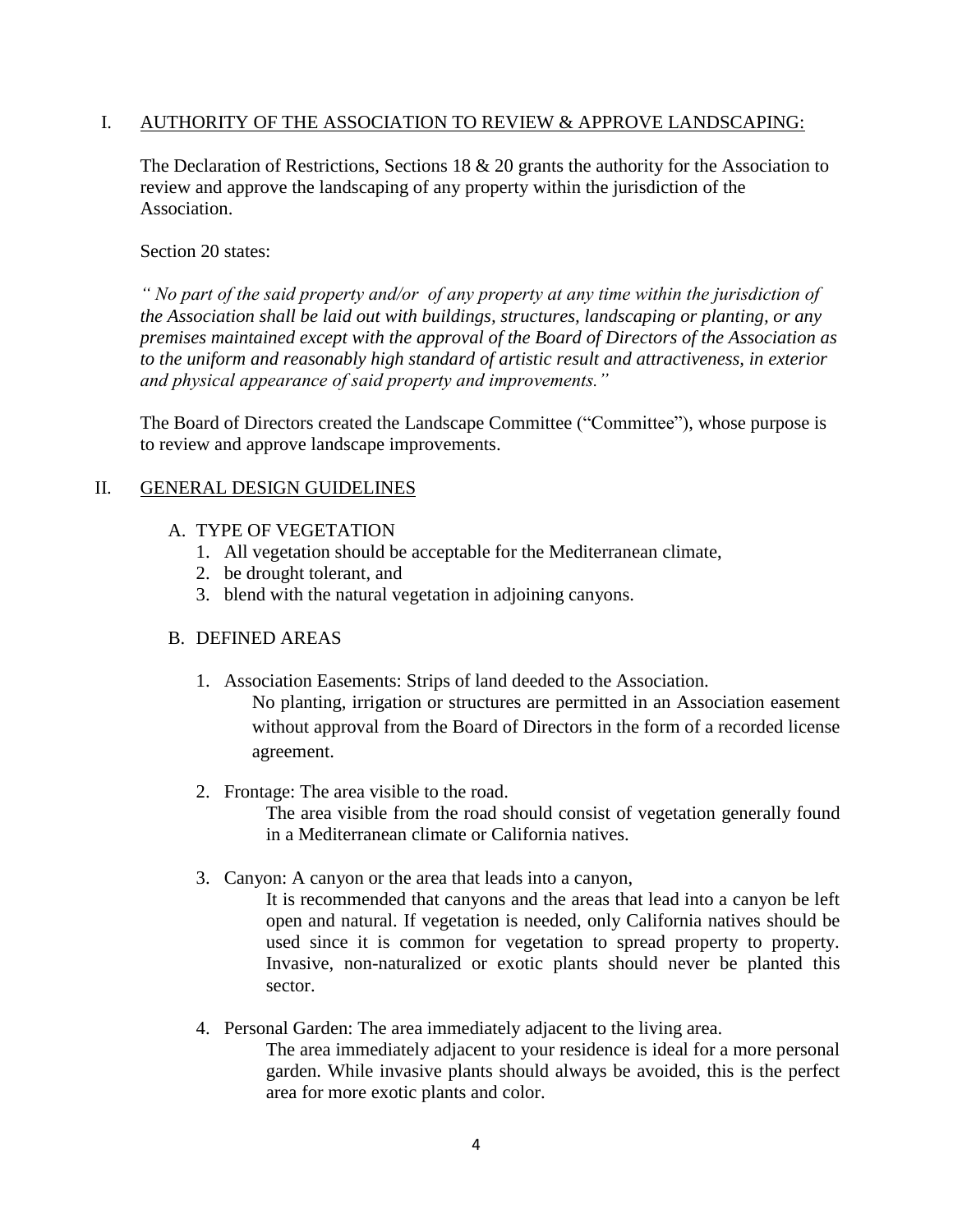#### I. AUTHORITY OF THE ASSOCIATION TO REVIEW & APPROVE LANDSCAPING:

The Declaration of Restrictions, Sections 18 & 20 grants the authority for the Association to review and approve the landscaping of any property within the jurisdiction of the Association.

#### Section 20 states:

*" No part of the said property and/or of any property at any time within the jurisdiction of the Association shall be laid out with buildings, structures, landscaping or planting, or any premises maintained except with the approval of the Board of Directors of the Association as to the uniform and reasonably high standard of artistic result and attractiveness, in exterior and physical appearance of said property and improvements."* 

The Board of Directors created the Landscape Committee ("Committee"), whose purpose is to review and approve landscape improvements.

### II. GENERAL DESIGN GUIDELINES

- A. TYPE OF VEGETATION
	- 1. All vegetation should be acceptable for the Mediterranean climate,
	- 2. be drought tolerant, and
	- 3. blend with the natural vegetation in adjoining canyons.

#### B. DEFINED AREAS

1. Association Easements: Strips of land deeded to the Association.

No planting, irrigation or structures are permitted in an Association easement without approval from the Board of Directors in the form of a recorded license agreement.

2. Frontage: The area visible to the road.

The area visible from the road should consist of vegetation generally found in a Mediterranean climate or California natives.

3. Canyon: A canyon or the area that leads into a canyon,

It is recommended that canyons and the areas that lead into a canyon be left open and natural. If vegetation is needed, only California natives should be used since it is common for vegetation to spread property to property. Invasive, non-naturalized or exotic plants should never be planted this sector.

4. Personal Garden: The area immediately adjacent to the living area. The area immediately adjacent to your residence is ideal for a more personal garden. While invasive plants should always be avoided, this is the perfect area for more exotic plants and color.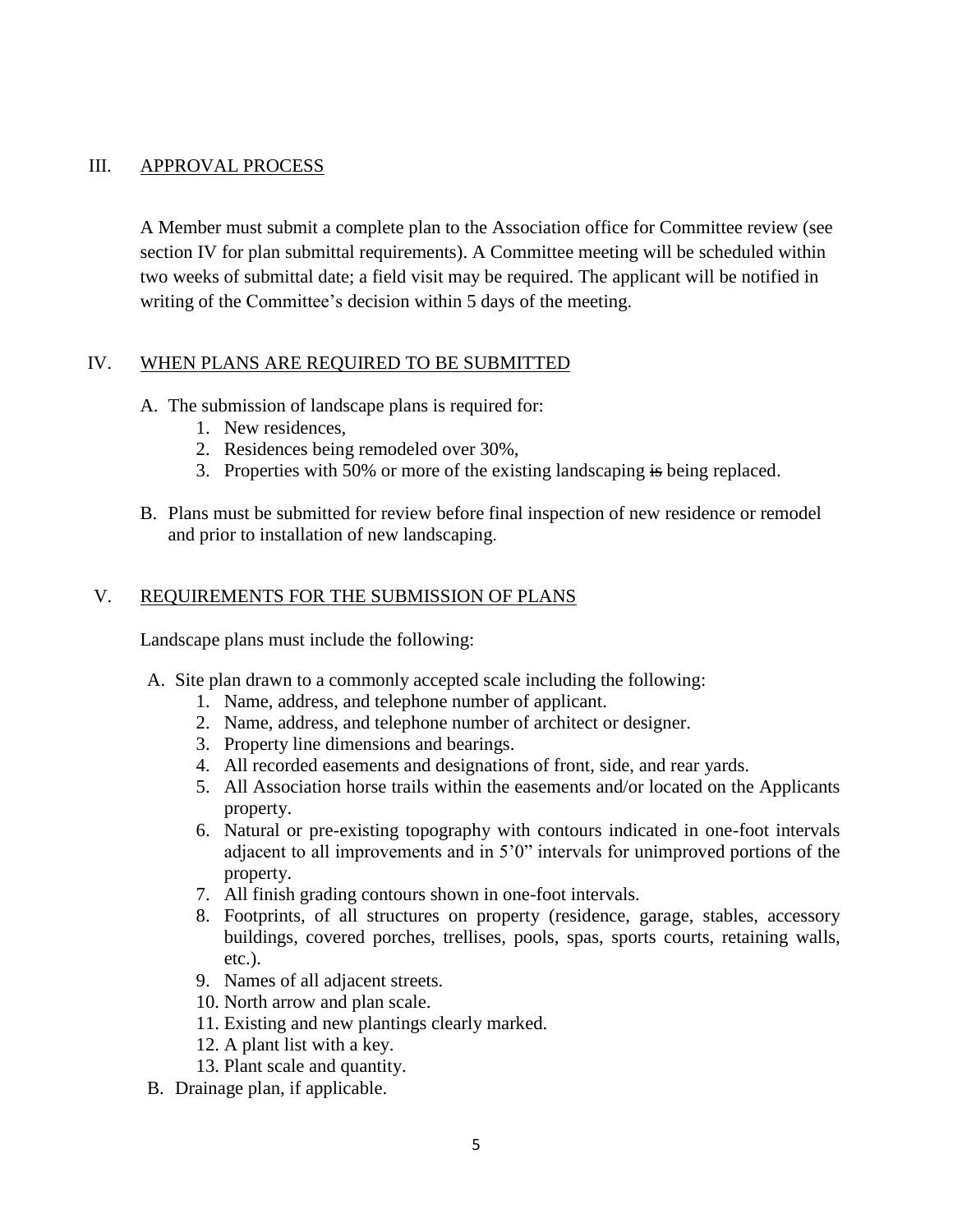#### III. APPROVAL PROCESS

A Member must submit a complete plan to the Association office for Committee review (see section IV for plan submittal requirements). A Committee meeting will be scheduled within two weeks of submittal date; a field visit may be required. The applicant will be notified in writing of the Committee's decision within 5 days of the meeting.

### IV. WHEN PLANS ARE REQUIRED TO BE SUBMITTED

- A. The submission of landscape plans is required for:
	- 1. New residences,
	- 2. Residences being remodeled over 30%,
	- 3. Properties with 50% or more of the existing landscaping is being replaced.
- B. Plans must be submitted for review before final inspection of new residence or remodel and prior to installation of new landscaping.

### V. REQUIREMENTS FOR THE SUBMISSION OF PLANS

Landscape plans must include the following:

- A. Site plan drawn to a commonly accepted scale including the following:
	- 1. Name, address, and telephone number of applicant.
	- 2. Name, address, and telephone number of architect or designer.
	- 3. Property line dimensions and bearings.
	- 4. All recorded easements and designations of front, side, and rear yards.
	- 5. All Association horse trails within the easements and/or located on the Applicants property.
	- 6. Natural or pre-existing topography with contours indicated in one-foot intervals adjacent to all improvements and in 5'0" intervals for unimproved portions of the property.
	- 7. All finish grading contours shown in one-foot intervals.
	- 8. Footprints, of all structures on property (residence, garage, stables, accessory buildings, covered porches, trellises, pools, spas, sports courts, retaining walls, etc.).
	- 9. Names of all adjacent streets.
	- 10. North arrow and plan scale.
	- 11. Existing and new plantings clearly marked.
	- 12. A plant list with a key.
	- 13. Plant scale and quantity.
- B. Drainage plan, if applicable.